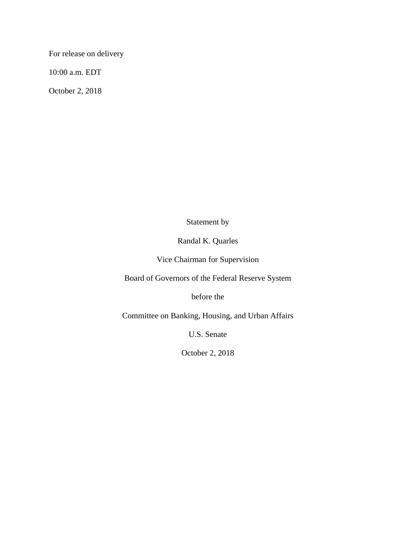For release on delivery

10:00 a.m. EDT

October 2, 2018

Statement by

Randal K. Quarles

Vice Chairman for Supervision

Board of Governors of the Federal Reserve System

before the

Committee on Banking, Housing, and Urban Affairs

U.S. Senate

October 2, 2018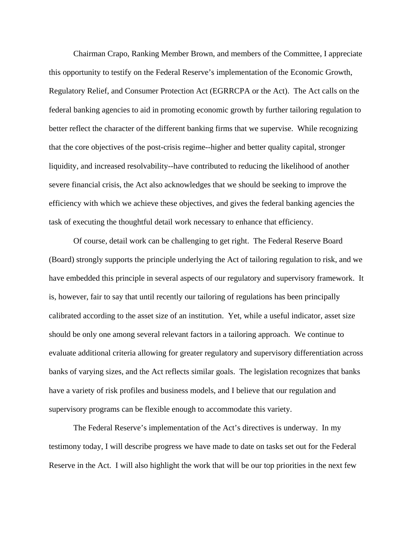Chairman Crapo, Ranking Member Brown, and members of the Committee, I appreciate this opportunity to testify on the Federal Reserve's implementation of the Economic Growth, Regulatory Relief, and Consumer Protection Act (EGRRCPA or the Act). The Act calls on the federal banking agencies to aid in promoting economic growth by further tailoring regulation to better reflect the character of the different banking firms that we supervise. While recognizing that the core objectives of the post-crisis regime--higher and better quality capital, stronger liquidity, and increased resolvability--have contributed to reducing the likelihood of another severe financial crisis, the Act also acknowledges that we should be seeking to improve the efficiency with which we achieve these objectives, and gives the federal banking agencies the task of executing the thoughtful detail work necessary to enhance that efficiency.

Of course, detail work can be challenging to get right. The Federal Reserve Board (Board) strongly supports the principle underlying the Act of tailoring regulation to risk, and we have embedded this principle in several aspects of our regulatory and supervisory framework. It is, however, fair to say that until recently our tailoring of regulations has been principally calibrated according to the asset size of an institution. Yet, while a useful indicator, asset size should be only one among several relevant factors in a tailoring approach. We continue to evaluate additional criteria allowing for greater regulatory and supervisory differentiation across banks of varying sizes, and the Act reflects similar goals. The legislation recognizes that banks have a variety of risk profiles and business models, and I believe that our regulation and supervisory programs can be flexible enough to accommodate this variety.

The Federal Reserve's implementation of the Act's directives is underway. In my testimony today, I will describe progress we have made to date on tasks set out for the Federal Reserve in the Act. I will also highlight the work that will be our top priorities in the next few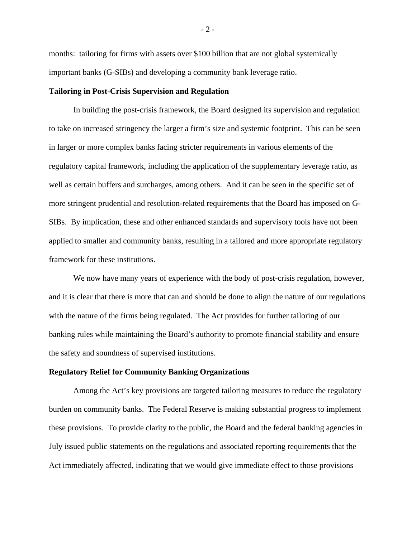months: tailoring for firms with assets over \$100 billion that are not global systemically important banks (G-SIBs) and developing a community bank leverage ratio.

### **Tailoring in Post-Crisis Supervision and Regulation**

In building the post-crisis framework, the Board designed its supervision and regulation to take on increased stringency the larger a firm's size and systemic footprint. This can be seen in larger or more complex banks facing stricter requirements in various elements of the regulatory capital framework, including the application of the supplementary leverage ratio, as well as certain buffers and surcharges, among others. And it can be seen in the specific set of more stringent prudential and resolution-related requirements that the Board has imposed on G-SIBs. By implication, these and other enhanced standards and supervisory tools have not been applied to smaller and community banks, resulting in a tailored and more appropriate regulatory framework for these institutions.

We now have many years of experience with the body of post-crisis regulation, however, and it is clear that there is more that can and should be done to align the nature of our regulations with the nature of the firms being regulated. The Act provides for further tailoring of our banking rules while maintaining the Board's authority to promote financial stability and ensure the safety and soundness of supervised institutions.

# **Regulatory Relief for Community Banking Organizations**

Among the Act's key provisions are targeted tailoring measures to reduce the regulatory burden on community banks. The Federal Reserve is making substantial progress to implement these provisions. To provide clarity to the public, the Board and the federal banking agencies in July issued public statements on the regulations and associated reporting requirements that the Act immediately affected, indicating that we would give immediate effect to those provisions

- 2 -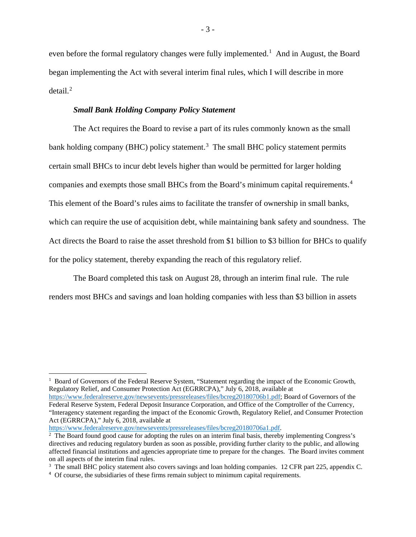even before the formal regulatory changes were fully implemented.<sup>[1](#page-3-0)</sup> And in August, the Board began implementing the Act with several interim final rules, which I will describe in more detail. $^2$  $^2$ 

# *Small Bank Holding Company Policy Statement*

The Act requires the Board to revise a part of its rules commonly known as the small bank holding company (BHC) policy statement.<sup>[3](#page-3-2)</sup> The small BHC policy statement permits certain small BHCs to incur debt levels higher than would be permitted for larger holding companies and exempts those small BHCs from the Board's minimum capital requirements. [4](#page-3-3) This element of the Board's rules aims to facilitate the transfer of ownership in small banks, which can require the use of acquisition debt, while maintaining bank safety and soundness. The Act directs the Board to raise the asset threshold from \$1 billion to \$3 billion for BHCs to qualify for the policy statement, thereby expanding the reach of this regulatory relief.

The Board completed this task on August 28, through an interim final rule. The rule renders most BHCs and savings and loan holding companies with less than \$3 billion in assets

<span id="page-3-0"></span> $1$  Board of Governors of the Federal Reserve System, "Statement regarding the impact of the Economic Growth, Regulatory Relief, and Consumer Protection Act (EGRRCPA)," July 6, 2018, available at [https://www.federalreserve.gov/newsevents/pressreleases/files/bcreg20180706b1.pdf;](https://www.federalreserve.gov/newsevents/pressreleases/files/bcreg20180706b1.pdf) Board of Governors of the Federal Reserve System, Federal Deposit Insurance Corporation, and Office of the Comptroller of the Currency, "Interagency statement regarding the impact of the Economic Growth, Regulatory Relief, and Consumer Protection Act (EGRRCPA)," July 6, 2018, available at

 $\overline{\phantom{a}}$ 

<span id="page-3-1"></span>[https://www.federalreserve.gov/newsevents/pressreleases/files/bcreg20180706a1.pdf.](https://www.federalreserve.gov/newsevents/pressreleases/files/bcreg20180706a1.pdf)<br><sup>2</sup> The Board found good cause for adopting the rules on an interim final basis, thereby implementing Congress's directives and reducing regulatory burden as soon as possible, providing further clarity to the public, and allowing affected financial institutions and agencies appropriate time to prepare for the changes. The Board invites comment

<span id="page-3-2"></span> $3$  The small BHC policy statement also covers savings and loan holding companies. 12 CFR part 225, appendix C.

<span id="page-3-3"></span><sup>4</sup> Of course, the subsidiaries of these firms remain subject to minimum capital requirements.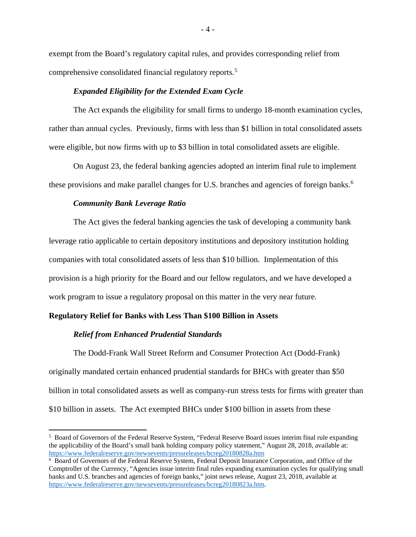exempt from the Board's regulatory capital rules, and provides corresponding relief from comprehensive consolidated financial regulatory reports. [5](#page-4-0)

### *Expanded Eligibility for the Extended Exam Cycle*

The Act expands the eligibility for small firms to undergo 18-month examination cycles, rather than annual cycles. Previously, firms with less than \$1 billion in total consolidated assets were eligible, but now firms with up to \$3 billion in total consolidated assets are eligible.

On August 23, the federal banking agencies adopted an interim final rule to implement these provisions and make parallel changes for U.S. branches and agencies of foreign banks.<sup>[6](#page-4-1)</sup>

### *Community Bank Leverage Ratio*

The Act gives the federal banking agencies the task of developing a community bank leverage ratio applicable to certain depository institutions and depository institution holding companies with total consolidated assets of less than \$10 billion. Implementation of this provision is a high priority for the Board and our fellow regulators, and we have developed a work program to issue a regulatory proposal on this matter in the very near future.

# **Regulatory Relief for Banks with Less Than \$100 Billion in Assets**

# *Relief from Enhanced Prudential Standards*

l

The Dodd-Frank Wall Street Reform and Consumer Protection Act (Dodd-Frank) originally mandated certain enhanced prudential standards for BHCs with greater than \$50 billion in total consolidated assets as well as company-run stress tests for firms with greater than \$10 billion in assets. The Act exempted BHCs under \$100 billion in assets from these

<span id="page-4-0"></span><sup>5</sup> Board of Governors of the Federal Reserve System, "Federal Reserve Board issues interim final rule expanding the applicability of the Board's small bank holding company policy statement," August 28, 2018, available at: <https://www.federalreserve.gov/newsevents/pressreleases/bcreg20180828a.htm>

<span id="page-4-1"></span><sup>6</sup> Board of Governors of the Federal Reserve System, Federal Deposit Insurance Corporation, and Office of the Comptroller of the Currency, "Agencies issue interim final rules expanding examination cycles for qualifying small banks and U.S. branches and agencies of foreign banks," joint news release, August 23, 2018, available at [https://www.federalreserve.gov/newsevents/pressreleases/bcreg20180823a.htm.](https://www.federalreserve.gov/newsevents/pressreleases/bcreg20180823a.htm)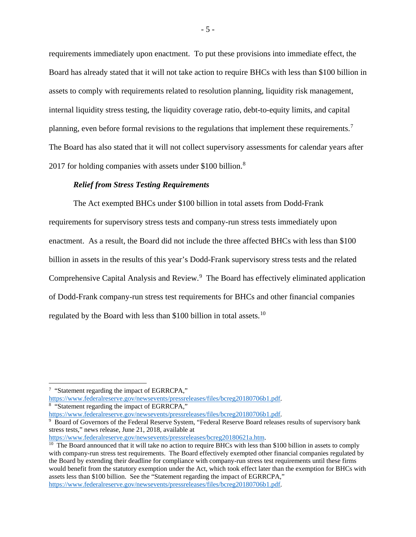requirements immediately upon enactment. To put these provisions into immediate effect, the Board has already stated that it will not take action to require BHCs with less than \$100 billion in assets to comply with requirements related to resolution planning, liquidity risk management, internal liquidity stress testing, the liquidity coverage ratio, debt-to-equity limits, and capital planning, even before formal revisions to the regulations that implement these requirements.[7](#page-5-0) The Board has also stated that it will not collect supervisory assessments for calendar years after 2017 for holding companies with assets under \$100 billion.<sup>[8](#page-5-1)</sup>

# *Relief from Stress Testing Requirements*

The Act exempted BHCs under \$100 billion in total assets from Dodd-Frank requirements for supervisory stress tests and company-run stress tests immediately upon enactment. As a result, the Board did not include the three affected BHCs with less than \$100 billion in assets in the results of this year's Dodd-Frank supervisory stress tests and the related Comprehensive Capital Analysis and Review.<sup>[9](#page-5-2)</sup> The Board has effectively eliminated application of Dodd-Frank company-run stress test requirements for BHCs and other financial companies regulated by the Board with less than \$[10](#page-5-3)0 billion in total assets.<sup>10</sup>

[https://www.federalreserve.gov/newsevents/pressreleases/files/bcreg20180706b1.pdf.](https://www.federalreserve.gov/newsevents/pressreleases/files/bcreg20180706b1.pdf)<br><sup>8</sup> "Statement regarding the impact of EGRRCPA,"<br>https://www.federalreserve.gov/newsevents/pressreleases/files/bcreg20180706b1.pdf.

<span id="page-5-1"></span>

 $\overline{\phantom{a}}$ 

<span id="page-5-2"></span> $heta$  Board of Governors of the Federal Reserve System, "Federal Reserve Board releases results of supervisory bank stress tests," news release, June 21, 2018, available at

- 5 -

<span id="page-5-0"></span><sup>7</sup> "Statement regarding the impact of EGRRCPA,"

<span id="page-5-3"></span>https://www.federalreserve.gov/newsevents/pressreleases/bcreg20180621a.htm.<br><sup>10</sup> The Board announced that it will take no action to require BHCs with less than \$100 billion in assets to comply with company-run stress test requirements. The Board effectively exempted other financial companies regulated by the Board by extending their deadline for compliance with company-run stress test requirements until these firms would benefit from the statutory exemption under the Act, which took effect later than the exemption for BHCs with assets less than \$100 billion. See the "Statement regarding the impact of EGRRCPA," [https://www.federalreserve.gov/newsevents/pressreleases/files/bcreg20180706b1.pdf.](https://www.federalreserve.gov/newsevents/pressreleases/files/bcreg20180706b1.pdf)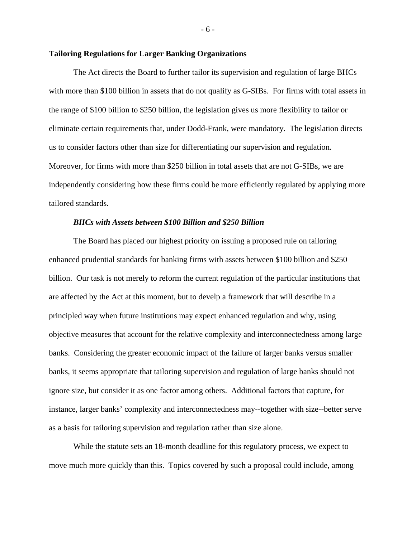### **Tailoring Regulations for Larger Banking Organizations**

The Act directs the Board to further tailor its supervision and regulation of large BHCs with more than \$100 billion in assets that do not qualify as G-SIBs. For firms with total assets in the range of \$100 billion to \$250 billion, the legislation gives us more flexibility to tailor or eliminate certain requirements that, under Dodd-Frank, were mandatory. The legislation directs us to consider factors other than size for differentiating our supervision and regulation. Moreover, for firms with more than \$250 billion in total assets that are not G-SIBs, we are independently considering how these firms could be more efficiently regulated by applying more tailored standards.

#### *BHCs with Assets between \$100 Billion and \$250 Billion*

The Board has placed our highest priority on issuing a proposed rule on tailoring enhanced prudential standards for banking firms with assets between \$100 billion and \$250 billion. Our task is not merely to reform the current regulation of the particular institutions that are affected by the Act at this moment, but to develp a framework that will describe in a principled way when future institutions may expect enhanced regulation and why, using objective measures that account for the relative complexity and interconnectedness among large banks. Considering the greater economic impact of the failure of larger banks versus smaller banks, it seems appropriate that tailoring supervision and regulation of large banks should not ignore size, but consider it as one factor among others. Additional factors that capture, for instance, larger banks' complexity and interconnectedness may--together with size--better serve as a basis for tailoring supervision and regulation rather than size alone.

While the statute sets an 18-month deadline for this regulatory process, we expect to move much more quickly than this. Topics covered by such a proposal could include, among

- 6 -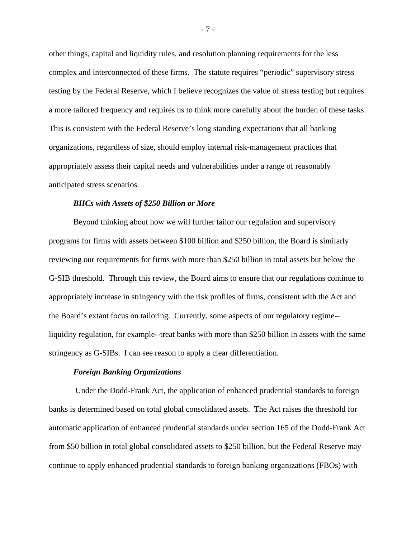other things, capital and liquidity rules, and resolution planning requirements for the less complex and interconnected of these firms. The statute requires "periodic" supervisory stress testing by the Federal Reserve, which I believe recognizes the value of stress testing but requires a more tailored frequency and requires us to think more carefully about the burden of these tasks. This is consistent with the Federal Reserve's long standing expectations that all banking organizations, regardless of size, should employ internal risk-management practices that appropriately assess their capital needs and vulnerabilities under a range of reasonably anticipated stress scenarios.

### *BHCs with Assets of \$250 Billion or More*

Beyond thinking about how we will further tailor our regulation and supervisory programs for firms with assets between \$100 billion and \$250 billion, the Board is similarly reviewing our requirements for firms with more than \$250 billion in total assets but below the G-SIB threshold. Through this review, the Board aims to ensure that our regulations continue to appropriately increase in stringency with the risk profiles of firms, consistent with the Act and the Board's extant focus on tailoring. Currently, some aspects of our regulatory regime- liquidity regulation, for example--treat banks with more than \$250 billion in assets with the same stringency as G-SIBs. I can see reason to apply a clear differentiation.

# *Foreign Banking Organizations*

Under the Dodd-Frank Act, the application of enhanced prudential standards to foreign banks is determined based on total global consolidated assets. The Act raises the threshold for automatic application of enhanced prudential standards under section 165 of the Dodd-Frank Act from \$50 billion in total global consolidated assets to \$250 billion, but the Federal Reserve may continue to apply enhanced prudential standards to foreign banking organizations (FBOs) with

- 7 -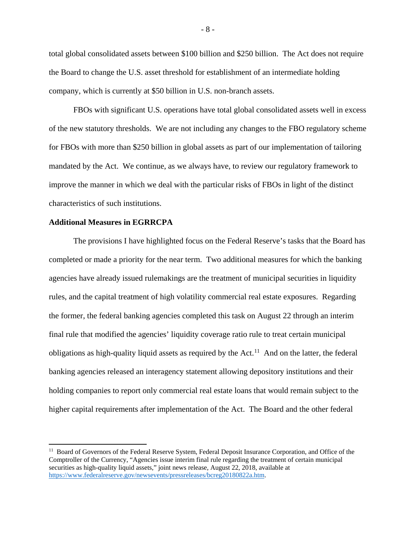total global consolidated assets between \$100 billion and \$250 billion. The Act does not require the Board to change the U.S. asset threshold for establishment of an intermediate holding company, which is currently at \$50 billion in U.S. non-branch assets.

FBOs with significant U.S. operations have total global consolidated assets well in excess of the new statutory thresholds. We are not including any changes to the FBO regulatory scheme for FBOs with more than \$250 billion in global assets as part of our implementation of tailoring mandated by the Act. We continue, as we always have, to review our regulatory framework to improve the manner in which we deal with the particular risks of FBOs in light of the distinct characteristics of such institutions.

# **Additional Measures in EGRRCPA**

 $\overline{\phantom{a}}$ 

The provisions I have highlighted focus on the Federal Reserve's tasks that the Board has completed or made a priority for the near term. Two additional measures for which the banking agencies have already issued rulemakings are the treatment of municipal securities in liquidity rules, and the capital treatment of high volatility commercial real estate exposures. Regarding the former, the federal banking agencies completed this task on August 22 through an interim final rule that modified the agencies' liquidity coverage ratio rule to treat certain municipal obligations as high-quality liquid assets as required by the Act.<sup>[11](#page-8-0)</sup> And on the latter, the federal banking agencies released an interagency statement allowing depository institutions and their holding companies to report only commercial real estate loans that would remain subject to the higher capital requirements after implementation of the Act. The Board and the other federal

<span id="page-8-0"></span><sup>&</sup>lt;sup>11</sup> Board of Governors of the Federal Reserve System, Federal Deposit Insurance Corporation, and Office of the Comptroller of the Currency, "Agencies issue interim final rule regarding the treatment of certain municipal securities as high-quality liquid assets," joint news release, August 22, 2018, available at [https://www.federalreserve.gov/newsevents/pressreleases/bcreg20180822a.htm.](https://www.federalreserve.gov/newsevents/pressreleases/bcreg20180822a.htm)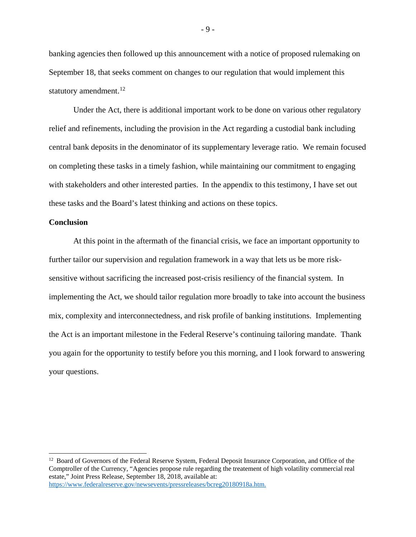banking agencies then followed up this announcement with a notice of proposed rulemaking on September 18, that seeks comment on changes to our regulation that would implement this statutory amendment.<sup>[12](#page-9-0)</sup>

Under the Act, there is additional important work to be done on various other regulatory relief and refinements, including the provision in the Act regarding a custodial bank including central bank deposits in the denominator of its supplementary leverage ratio. We remain focused on completing these tasks in a timely fashion, while maintaining our commitment to engaging with stakeholders and other interested parties. In the appendix to this testimony, I have set out these tasks and the Board's latest thinking and actions on these topics.

# **Conclusion**

l

At this point in the aftermath of the financial crisis, we face an important opportunity to further tailor our supervision and regulation framework in a way that lets us be more risksensitive without sacrificing the increased post-crisis resiliency of the financial system. In implementing the Act, we should tailor regulation more broadly to take into account the business mix, complexity and interconnectedness, and risk profile of banking institutions. Implementing the Act is an important milestone in the Federal Reserve's continuing tailoring mandate. Thank you again for the opportunity to testify before you this morning, and I look forward to answering your questions.

- 9 -

<span id="page-9-0"></span><sup>&</sup>lt;sup>12</sup> Board of Governors of the Federal Reserve System, Federal Deposit Insurance Corporation, and Office of the Comptroller of the Currency, "Agencies propose rule regarding the treatement of high volatility commercial real estate," Joint Press Release, September 18, 2018, available at: [https://www.federalreserve.gov/newsevents/pressreleases/bcreg20180918a.htm.](https://www.federalreserve.gov/newsevents/pressreleases/bcreg20180918a.htm)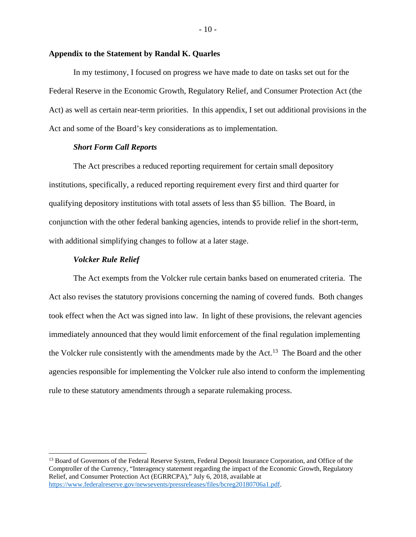# **Appendix to the Statement by Randal K. Quarles**

In my testimony, I focused on progress we have made to date on tasks set out for the Federal Reserve in the Economic Growth, Regulatory Relief, and Consumer Protection Act (the Act) as well as certain near-term priorities. In this appendix, I set out additional provisions in the Act and some of the Board's key considerations as to implementation.

# *Short Form Call Reports*

The Act prescribes a reduced reporting requirement for certain small depository institutions, specifically, a reduced reporting requirement every first and third quarter for qualifying depository institutions with total assets of less than \$5 billion. The Board, in conjunction with the other federal banking agencies, intends to provide relief in the short-term, with additional simplifying changes to follow at a later stage.

# *Volcker Rule Relief*

l

The Act exempts from the Volcker rule certain banks based on enumerated criteria. The Act also revises the statutory provisions concerning the naming of covered funds. Both changes took effect when the Act was signed into law. In light of these provisions, the relevant agencies immediately announced that they would limit enforcement of the final regulation implementing the Volcker rule consistently with the amendments made by the Act.<sup>[13](#page-10-0)</sup> The Board and the other agencies responsible for implementing the Volcker rule also intend to conform the implementing rule to these statutory amendments through a separate rulemaking process.

<span id="page-10-0"></span><sup>&</sup>lt;sup>13</sup> Board of Governors of the Federal Reserve System, Federal Deposit Insurance Corporation, and Office of the Comptroller of the Currency, "Interagency statement regarding the impact of the Economic Growth, Regulatory Relief, and Consumer Protection Act (EGRRCPA)," July 6, 2018, available at [https://www.federalreserve.gov/newsevents/pressreleases/files/bcreg20180706a1.pdf.](https://www.federalreserve.gov/newsevents/pressreleases/files/bcreg20180706a1.pdf)